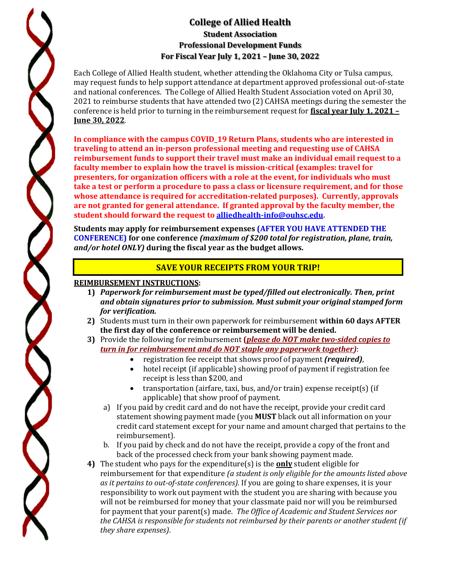## **College of Allied Health Student Association Professional Development Funds For Fiscal Year July 1, 2021 – June 30, 2022**

Each College of Allied Health student, whether attending the Oklahoma City or Tulsa campus, may request funds to help support attendance at department approved professional out-of-state and national conferences. The College of Allied Health Student Association voted on April 30, 2021 to reimburse students that have attended two (2) CAHSA meetings during the semester the conference is held prior to turning in the reimbursement request for **fiscal year July 1, 2021 – June 30, 2022**.

**In compliance with the campus COVID\_19 Return Plans, students who are interested in traveling to attend an in-person professional meeting and requesting use of CAHSA reimbursement funds to support their travel must make an individual email request to a faculty member to explain how the travel is mission-critical (examples: travel for presenters, for organization officers with a role at the event, for individuals who must take a test or perform a procedure to pass a class or licensure requirement, and for those whose attendance is required for accreditation-related purposes). Currently, approvals are not granted for general attendance. If granted approval by the faculty member, the student should forward the request to [alliedhealth-info@ouhsc.edu.](mailto:alliedhealth-info@ouhsc.edu)**

**Students may apply for reimbursement expenses (AFTER YOU HAVE ATTENDED THE CONFERENCE) for one conference** *(maximum of \$200 total for registration, plane, train, and/or hotel ONLY)* **during the fiscal year as the budget allows.** 

## **SAVE YOUR RECEIPTS FROM YOUR TRIP!**

## **REIMBURSEMENT INSTRUCTIONS:**

- **1)** *Paperwork for reimbursement must be typed/filled out electronically. Then, print and obtain signatures prior to submission. Must submit your original stamped form for verification.*
- **2)** Students must turn in their own paperwork for reimbursement **within 60 days AFTER the first day of the conference or reimbursement will be denied.**
- **3)** Provide the following for reimbursement **(***please do NOT make two-sided copies to turn in for reimbursement and do NOT staple any paperwork together)*:
	- registration fee receipt that shows proof of payment *(required)*,<br>• hotel receipt (if applicable) showing proof of payment if registrat
	- hotel receipt (if applicable) showing proof of payment if registration fee receipt is less than \$200, and
	- transportation (airfare, taxi, bus, and/or train) expense receipt(s) (if applicable) that show proof of payment.
	- a) If you paid by credit card and do not have the receipt, provide your credit card statement showing payment made (you **MUST** black out all information on your credit card statement except for your name and amount charged that pertains to the reimbursement).
	- b. If you paid by check and do not have the receipt, provide a copy of the front and back of the processed check from your bank showing payment made.
- **4)** The student who pays for the expenditure(s) is the **only** student eligible for reimbursement for that expenditure *(a student is only eligible for the amounts listed above as it pertains to out-of-state conferences).* If you are going to share expenses, it is your responsibility to work out payment with the student you are sharing with because you will not be reimbursed for money that your classmate paid nor will you be reimbursed for payment that your parent(s) made. *The Office of Academic and Student Services nor the CAHSA is responsible for students not reimbursed by their parents or another student (if they share expenses)*.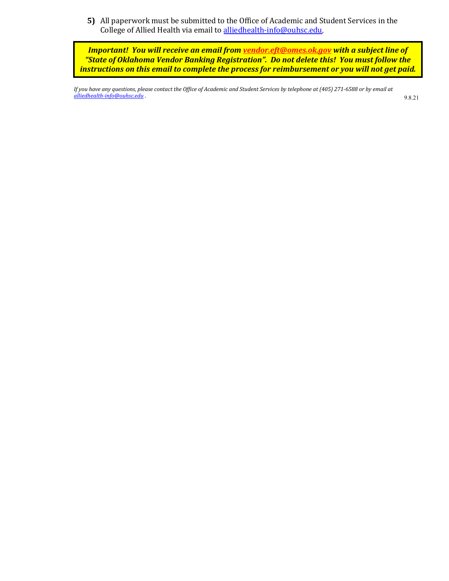**5)** All paperwork must be submitted to the Office of Academic and Student Services in the College of Allied Health via email to [alliedhealth-info@ouhsc.edu.](mailto:alliedhealth-info@ouhsc.edu) 

*Important! You will receive an email fro[m vendor.eft@omes.ok.gov](mailto:vendor.eft@omes.ok.gov) with a subject line of "State of Oklahoma Vendor Banking Registration". Do not delete this! You must follow the instructions on this email to complete the process for reimbursement or you will not get paid.*

*If you have any questions, please contact the Office of Academic and Student Services by telephone at (405) 271-6588 or by email at [alliedhealth-info@ouhsc.edu](mailto:alliedhealth-info@ouhsc.edu) .* 9.8.21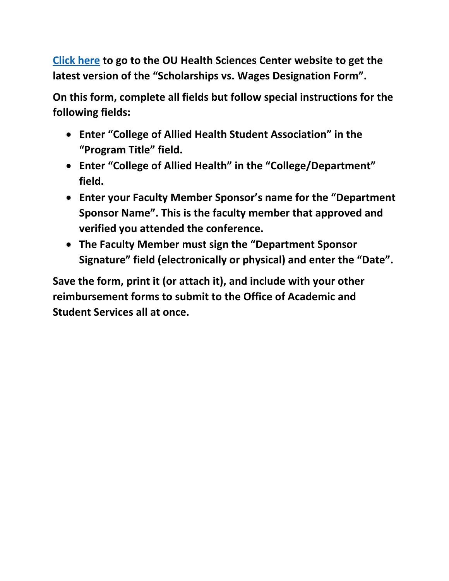**[Click here](https://financialservices.ouhsc.edu/Portals/1354/assets/documents/Scholarship_Wages.pdf) to go to the OU Health Sciences Center website to get the latest version of the "Scholarships vs. Wages Designation Form".** 

**On this form, complete all fields but follow special instructions for the following fields:**

- **Enter "College of Allied Health Student Association" in the "Program Title" field.**
- **Enter "College of Allied Health" in the "College/Department" field.**
- **Enter your Faculty Member Sponsor's name for the "Department Sponsor Name". This is the faculty member that approved and verified you attended the conference.**
- **The Faculty Member must sign the "Department Sponsor Signature" field (electronically or physical) and enter the "Date".**

**Save the form, print it (or attach it), and include with your other reimbursement forms to submit to the Office of Academic and Student Services all at once.**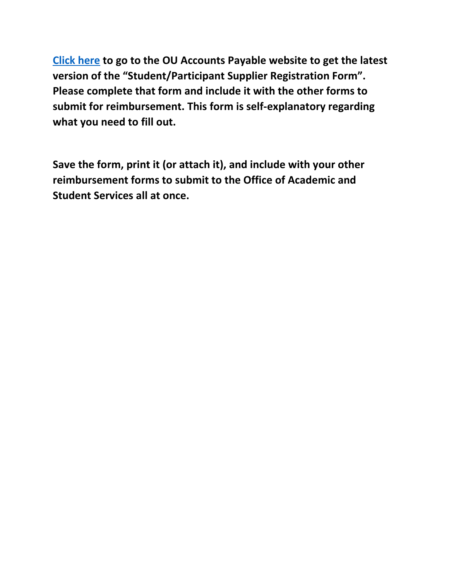**[Click here](https://financialservices.ouhsc.edu/Portals/1354/assets/Student%20Participant%20Supplier%20Form.pdf?ver=2020-06-11-160744-897) to go to the OU Accounts Payable website to get the latest version of the "Student/Participant Supplier Registration Form". Please complete that form and include it with the other forms to submit for reimbursement. This form is self-explanatory regarding what you need to fill out.**

**Save the form, print it (or attach it), and include with your other reimbursement forms to submit to the Office of Academic and Student Services all at once.**